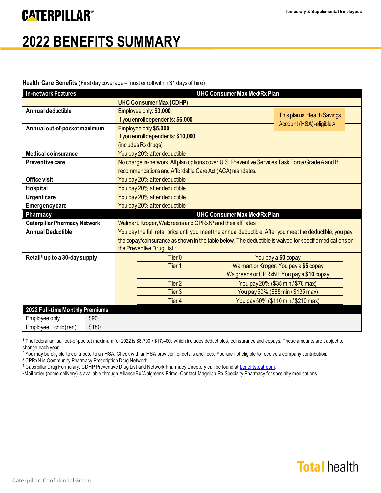### **CATERPILLAR®**

# **2022 BENEFITS SUMMARY**

#### Health Care Benefits (First day coverage – must enroll within 31 days of hire)

| <b>In-network Features</b>                | <b>UHC Consumer Max Med/Rx Plan</b>                                                                        |                                        |                                                                     |
|-------------------------------------------|------------------------------------------------------------------------------------------------------------|----------------------------------------|---------------------------------------------------------------------|
|                                           | <b>UHC Consumer Max (CDHP)</b>                                                                             |                                        |                                                                     |
| Annual deductible                         | Employee only: \$3,000                                                                                     |                                        |                                                                     |
|                                           | If you enroll dependents: \$6,000                                                                          |                                        | This plan is Health Savings<br>Account (HSA)-eligible. <sup>2</sup> |
| Annual out-of-pocket maximum <sup>1</sup> | Employee only \$5,000                                                                                      |                                        |                                                                     |
|                                           | If you enroll dependents: \$10,000                                                                         |                                        |                                                                     |
|                                           | (includes Rx drugs)                                                                                        |                                        |                                                                     |
| <b>Medical coinsurance</b>                | You pay 20% after deductible                                                                               |                                        |                                                                     |
| <b>Preventive care</b>                    | No charge in-network. All plan options cover U.S. Preventive Services Task Force Grade A and B             |                                        |                                                                     |
|                                           | recommendations and Affordable Care Act (ACA) mandates.                                                    |                                        |                                                                     |
| <b>Office visit</b>                       | You pay 20% after deductible                                                                               |                                        |                                                                     |
| <b>Hospital</b>                           | You pay 20% after deductible                                                                               |                                        |                                                                     |
| <b>Urgent care</b>                        | You pay 20% after deductible                                                                               |                                        |                                                                     |
| <b>Emergency care</b>                     | You pay 20% after deductible                                                                               |                                        |                                                                     |
| Pharmacy                                  | <b>UHC Consumer Max Med/Rx Plan</b>                                                                        |                                        |                                                                     |
| <b>Caterpillar Pharmacy Network</b>       | Walmart, Kroger, Walgreens and CPRxN <sup>3</sup> and their affiliates                                     |                                        |                                                                     |
| <b>Annual Deductible</b>                  | You pay the full retail price until you meet the annual deductible. After you meet the deductible, you pay |                                        |                                                                     |
|                                           | the copay/coinsurance as shown in the table below. The deductible is waived for specific medications on    |                                        |                                                                     |
|                                           | the Preventive Drug List. <sup>4</sup>                                                                     |                                        |                                                                     |
| Retail <sup>5</sup> up to a 30-day supply | Tier <sub>0</sub>                                                                                          | You pay a \$0 copay                    |                                                                     |
|                                           | Tier 1                                                                                                     | Walmart or Kroger: You pay a \$5 copay |                                                                     |
|                                           | Walgreens or CPRxN1: You pay a \$10 copay                                                                  |                                        |                                                                     |
|                                           | Tier 2                                                                                                     | You pay 20% (\$35 min / \$70 max)      |                                                                     |
|                                           | Tier 3                                                                                                     |                                        | You pay 50% (\$85 min / \$135 max)                                  |
|                                           | Tier 4                                                                                                     |                                        | You pay 50% (\$110 min / \$210 max)                                 |
| 2022 Full-time Monthly Premiums           |                                                                                                            |                                        |                                                                     |
| Employee only<br>\$90                     |                                                                                                            |                                        |                                                                     |
| \$180<br>Employee + child(ren)            |                                                                                                            |                                        |                                                                     |

<sup>1</sup> The federal annual out-of-pocket maximum for 2022 is \$8,700 / \$17,400, which includes deductibles, coinsurance and copays. These amounts are subject to change each year.

<sup>2</sup> You may be eligible to contribute to an HSA. Check with an HSA provider for details and fees. You are not eligible to receive a company contribution.

<sup>3</sup>CPRxN is Community Pharmacy Prescription Drug Network. 4 Caterpillar Drug Formulary, CDHP Preventive Drug List and Network Pharmacy Directory can be found at [benefits.cat.com](https://benefits.cat.com/en.html).

<sup>5</sup>Mail order (home delivery) is available through AllianceRx Walgreens Prime. Contact Magellan Rx Specialty Pharmacy for specialty medications.